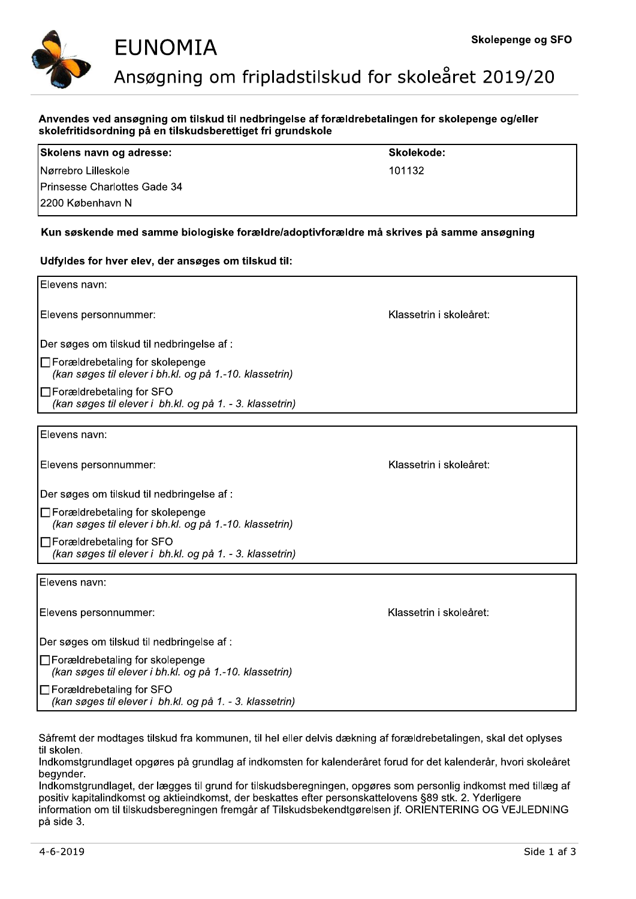

|                      | EUNOMIA                                                     | Skolepenge og SI                                                                                 |  |  |  |
|----------------------|-------------------------------------------------------------|--------------------------------------------------------------------------------------------------|--|--|--|
|                      | Ansøgning om fripladstilskud for skoleåret 2019/20          |                                                                                                  |  |  |  |
|                      |                                                             |                                                                                                  |  |  |  |
|                      |                                                             | Anvendes ved ansøgning om tilskud til nedbringelse af forældrebetalingen for skolepenge og/eller |  |  |  |
|                      | skolefritidsordning på en tilskudsberettiget fri grundskole |                                                                                                  |  |  |  |
|                      | Skolens navn og adresse:                                    | Skolekode:                                                                                       |  |  |  |
| lNørrebro Lilleskole |                                                             | 101132                                                                                           |  |  |  |
|                      | Prinsesse Charlottes Gade 34                                |                                                                                                  |  |  |  |

|                                        | <b>EUNOMIA</b>                                                                                                                                                                                                                                                                                                                                                                                                                                                                                                                                                             | Skolepenge og SFU       |
|----------------------------------------|----------------------------------------------------------------------------------------------------------------------------------------------------------------------------------------------------------------------------------------------------------------------------------------------------------------------------------------------------------------------------------------------------------------------------------------------------------------------------------------------------------------------------------------------------------------------------|-------------------------|
|                                        | Ansøgning om fripladstilskud for skoleåret 2019/20                                                                                                                                                                                                                                                                                                                                                                                                                                                                                                                         |                         |
|                                        | Anvendes ved ansøgning om tilskud til nedbringelse af forældrebetalingen for skolepenge og/eller<br>skolefritidsordning på en tilskudsberettiget fri grundskole                                                                                                                                                                                                                                                                                                                                                                                                            |                         |
|                                        | Skolens navn og adresse:                                                                                                                                                                                                                                                                                                                                                                                                                                                                                                                                                   | Skolekode:              |
| Nørrebro Lilleskole                    |                                                                                                                                                                                                                                                                                                                                                                                                                                                                                                                                                                            | 101132                  |
|                                        | Prinsesse Charlottes Gade 34                                                                                                                                                                                                                                                                                                                                                                                                                                                                                                                                               |                         |
| 2200 København N                       |                                                                                                                                                                                                                                                                                                                                                                                                                                                                                                                                                                            |                         |
|                                        | Kun søskende med samme biologiske forældre/adoptivforældre må skrives på samme ansøgning                                                                                                                                                                                                                                                                                                                                                                                                                                                                                   |                         |
|                                        | Udfyldes for hver elev, der ansøges om tilskud til:                                                                                                                                                                                                                                                                                                                                                                                                                                                                                                                        |                         |
| Elevens navn:                          |                                                                                                                                                                                                                                                                                                                                                                                                                                                                                                                                                                            |                         |
| Elevens personnummer:                  |                                                                                                                                                                                                                                                                                                                                                                                                                                                                                                                                                                            | Klassetrin i skoleåret: |
|                                        | Der søges om tilskud til nedbringelse af :                                                                                                                                                                                                                                                                                                                                                                                                                                                                                                                                 |                         |
|                                        | $\Box$ Forældrebetaling for skolepenge<br>(kan søges til elever i bh.kl. og på 1.-10. klassetrin)                                                                                                                                                                                                                                                                                                                                                                                                                                                                          |                         |
|                                        | □Forældrebetaling for SFO<br>(kan søges til elever i bh.kl. og på 1. - 3. klassetrin)                                                                                                                                                                                                                                                                                                                                                                                                                                                                                      |                         |
| Elevens navn:                          |                                                                                                                                                                                                                                                                                                                                                                                                                                                                                                                                                                            |                         |
|                                        |                                                                                                                                                                                                                                                                                                                                                                                                                                                                                                                                                                            |                         |
| Elevens personnummer:                  |                                                                                                                                                                                                                                                                                                                                                                                                                                                                                                                                                                            | Klassetrin i skoleåret: |
|                                        | Der søges om tilskud til nedbringelse af :                                                                                                                                                                                                                                                                                                                                                                                                                                                                                                                                 |                         |
|                                        | □ Forældrebetaling for skolepenge<br>(kan søges til elever i bh.kl. og på 1.-10. klassetrin)                                                                                                                                                                                                                                                                                                                                                                                                                                                                               |                         |
|                                        | □Forældrebetaling for SFO<br>(kan søges til elever i bh.kl. og på 1. - 3. klassetrin)                                                                                                                                                                                                                                                                                                                                                                                                                                                                                      |                         |
| Elevens navn:                          |                                                                                                                                                                                                                                                                                                                                                                                                                                                                                                                                                                            |                         |
| Elevens personnummer:                  |                                                                                                                                                                                                                                                                                                                                                                                                                                                                                                                                                                            | Klassetrin i skoleåret: |
|                                        | Der søges om tilskud til nedbringelse af :                                                                                                                                                                                                                                                                                                                                                                                                                                                                                                                                 |                         |
|                                        | □ Forældrebetaling for skolepenge<br>(kan søges til elever i bh.kl. og på 1.-10. klassetrin)                                                                                                                                                                                                                                                                                                                                                                                                                                                                               |                         |
|                                        | $\Box$ Forældrebetaling for SFO<br>(kan søges til elever i bh.kl. og på 1. - 3. klassetrin)                                                                                                                                                                                                                                                                                                                                                                                                                                                                                |                         |
| til skolen.<br>begynder.<br>på side 3. | Såfremt der modtages tilskud fra kommunen, til hel eller delvis dækning af forældrebetalingen, skal det oplyses<br>Indkomstgrundlaget opgøres på grundlag af indkomsten for kalenderåret forud for det kalenderår, hvori skoleåret<br>Indkomstgrundlaget, der lægges til grund for tilskudsberegningen, opgøres som personlig indkomst med tillæg af<br>positiv kapitalindkomst og aktieindkomst, der beskattes efter personskattelovens §89 stk. 2. Yderligere<br>information om til tilskudsberegningen fremgår af Tilskudsbekendtgørelsen jf. ORIENTERING OG VEJLEDNING |                         |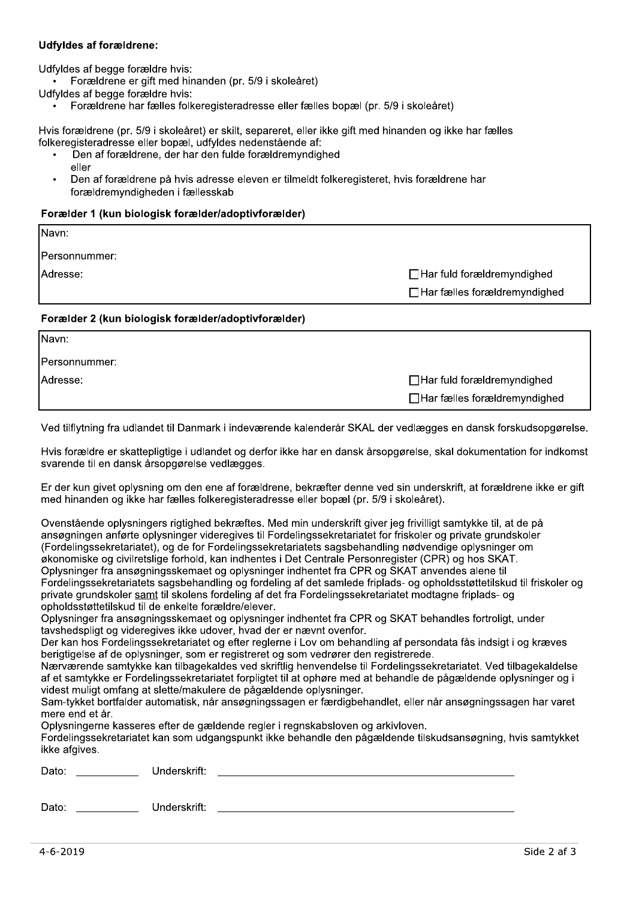# **Udfyldes af forældrene:**

Udfyldes af begge forældre hvis:

Forældrene er gift med hinanden (pr. 5/9 i skoleåret)

Udfyldes af begge forældre hvis:

Forældrene har fælles folkeregisteradresse eller fælles bopæl (pr. 5/9 i skoleåret)

Hvis forældrene (pr. 5/9 i skoleåret) er skilt, separeret, eller ikke gift med hinanden og ikke har fælles folkeregisteradresse eller bopæl, udfyldes nedenstående af:

- Den af forældrene, der har den fulde forældremyndighed eller
- Den af forældrene på hvis adresse eleven er tilmeldt folkeregisteret, hvis forældrene har forældremyndigheden i fællesskab

# Forælder 1 (kun biologisk forælder/adoptivforælder)

| Navn:                                               |                                     |
|-----------------------------------------------------|-------------------------------------|
| Personnummer:                                       |                                     |
| Adresse:                                            | $\Box$ Har fuld forældremyndighed   |
|                                                     | $\Box$ Har fælles forældremyndighed |
| Forælder 2 (kun biologisk forælder/adoptivforælder) |                                     |

| Navn:         |                                     |
|---------------|-------------------------------------|
| Personnummer: |                                     |
| IAdresse:     | $\Box$ Har fuld forældremyndighed   |
|               | $\Box$ Har fælles forældremyndighed |

Ved tilflytning fra udlandet til Danmark i indeværende kalenderår SKAL der vedlægges en dansk forskudsopgørelse.

Hvis forældre er skattepligtige i udlandet og derfor ikke har en dansk årsopgørelse, skal dokumentation for indkomst svarende til en dansk årsopgørelse vedlægges.

Er der kun givet oplysning om den ene af forældrene, bekræfter denne ved sin underskrift, at forældrene ikke er gift med hinanden og ikke har fælles folkeregisteradresse eller bopæl (pr. 5/9 i skoleåret).

| Ovenstående oplysningers rigtighed bekræftes. Med min underskrift giver jeg frivilligt samtykke til, at de på          |
|------------------------------------------------------------------------------------------------------------------------|
| ansøgningen anførte oplysninger videregives til Fordelingssekretariatet for friskoler og private grundskoler           |
| (Fordelingssekretariatet), og de for Fordelingssekretariatets sagsbehandling nødvendige oplysninger om                 |
| økonomiske og civilretslige forhold, kan indhentes i Det Centrale Personregister (CPR) og hos SKAT.                    |
| Oplysninger fra ansøgningsskemaet og oplysninger indhentet fra CPR og SKAT anvendes alene til                          |
| Fordelingssekretariatets sagsbehandling og fordeling af det samlede friplads- og opholdsstøttetilskud til friskoler og |
| private grundskoler samt til skolens fordeling af det fra Fordelingssekretariatet modtagne friplads- og                |
| opholdsstøttetilskud til de enkelte forældre/elever.                                                                   |

Oplysninger fra ansøgningsskemaet og oplysninger indhentet fra CPR og SKAT behandles fortroligt, under tavshedspligt og videregives ikke udover, hvad der er nævnt ovenfor.

Der kan hos Fordelingssekretariatet og efter reglerne i Lov om behandling af persondata fås indsigt i og kræves berigtigelse af de oplysninger, som er registreret og som vedrører den registrerede.

Nærværende samtykke kan tilbagekaldes ved skriftlig henvendelse til Fordelingssekretariatet. Ved tilbagekaldelse af et samtykke er Fordelingssekretariatet forpligtet til at ophøre med at behandle de pågældende oplysninger og i videst muligt omfang at slette/makulere de pågældende oplysninger.

Sam-tykket bortfalder automatisk, når ansøgningssagen er færdigbehandlet, eller når ansøgningssagen har varet mere end et år.

Oplysningerne kasseres efter de gældende regler i regnskabsloven og arkivloven.

Fordelingssekretariatet kan som udgangspunkt ikke behandle den pågældende tilskudsansøgning, hvis samtykket ikke afgives.

| Dato: | Underskrift: |
|-------|--------------|
|       |              |
| Dato: | Underskrift: |
|       |              |